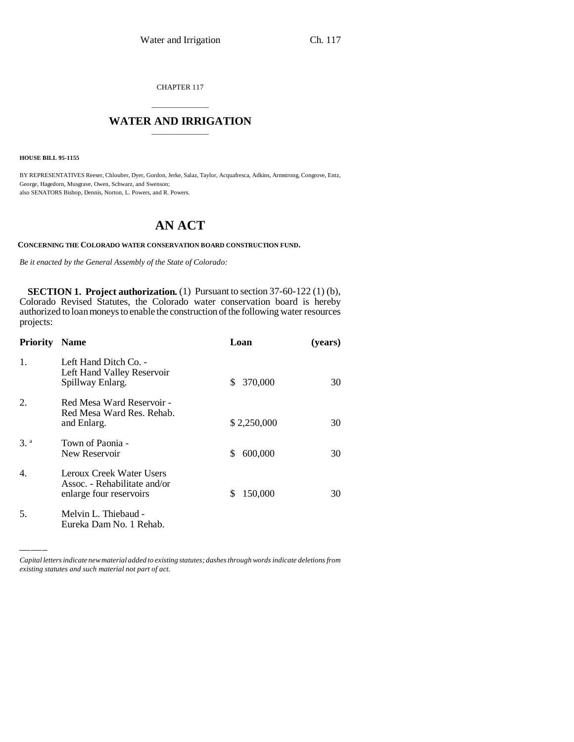CHAPTER 117

# \_\_\_\_\_\_\_\_\_\_\_\_\_\_\_ **WATER AND IRRIGATION** \_\_\_\_\_\_\_\_\_\_\_\_\_\_\_

**HOUSE BILL 95-1155**

BY REPRESENTATIVES Reeser, Chlouber, Dyer, Gordon, Jerke, Salaz, Taylor, Acquafresca, Adkins, Armstrong, Congrove, Entz, George, Hagedorn, Musgrave, Owen, Schwarz, and Swenson; also SENATORS Bishop, Dennis, Norton, L. Powers, and R. Powers.

# **AN ACT**

#### **CONCERNING THE COLORADO WATER CONSERVATION BOARD CONSTRUCTION FUND.**

*Be it enacted by the General Assembly of the State of Colorado:*

**SECTION 1. Project authorization.** (1) Pursuant to section 37-60-122 (1) (b), Colorado Revised Statutes, the Colorado water conservation board is hereby authorized to loan moneys to enable the construction of the following water resources projects:

| <b>Priority</b> | <b>Name</b>                                                                         | Loan           | (years) |
|-----------------|-------------------------------------------------------------------------------------|----------------|---------|
| 1.              | Left Hand Ditch Co. -<br>Left Hand Valley Reservoir<br>Spillway Enlarg.             | 370,000<br>\$. | 30      |
| 2.              | Red Mesa Ward Reservoir -<br>Red Mesa Ward Res. Rehab.<br>and Enlarg.               | \$2,250,000    | 30      |
| $3^a$           | Town of Paonia -<br>New Reservoir                                                   | 600,000<br>\$. | 30      |
| 4.              | Leroux Creek Water Users<br>Assoc. - Rehabilitate and/or<br>enlarge four reservoirs | 150,000<br>\$. | 30      |
| 5.              | Melvin L. Thiebaud -<br>Eureka Dam No. 1 Rehab.                                     |                |         |

*Capital letters indicate new material added to existing statutes; dashes through words indicate deletions from existing statutes and such material not part of act.*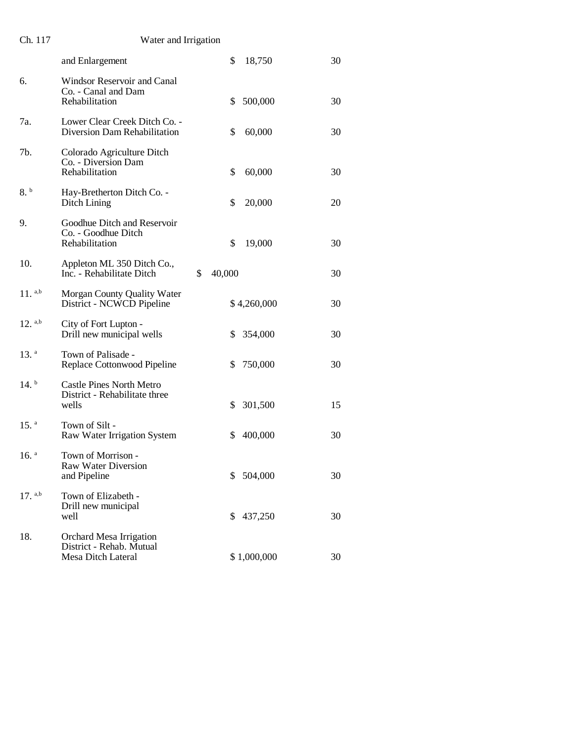| Ch. 117              | Water and Irrigation                                                      |               |    |
|----------------------|---------------------------------------------------------------------------|---------------|----|
|                      | and Enlargement                                                           | \$<br>18,750  | 30 |
| 6.                   | Windsor Reservoir and Canal<br>Co. - Canal and Dam<br>Rehabilitation      | \$<br>500,000 | 30 |
| 7a.                  | Lower Clear Creek Ditch Co. -<br>Diversion Dam Rehabilitation             | \$<br>60,000  | 30 |
| 7b.                  | Colorado Agriculture Ditch<br>Co. - Diversion Dam<br>Rehabilitation       | \$<br>60,000  | 30 |
| 8.b                  | Hay-Bretherton Ditch Co. -<br>Ditch Lining                                | \$<br>20,000  | 20 |
| 9.                   | Goodhue Ditch and Reservoir<br>Co. - Goodhue Ditch<br>Rehabilitation      | \$<br>19,000  | 30 |
| 10.                  | Appleton ML 350 Ditch Co.,<br>Inc. - Rehabilitate Ditch                   | \$<br>40,000  | 30 |
| $11.$ <sup>a,b</sup> | Morgan County Quality Water<br>District - NCWCD Pipeline                  | \$4,260,000   | 30 |
| $12.$ a,b            | City of Fort Lupton -<br>Drill new municipal wells                        | \$<br>354,000 | 30 |
| $13.$ <sup>a</sup>   | Town of Palisade -<br>Replace Cottonwood Pipeline                         | \$<br>750,000 | 30 |
| $14.^{\rm b}$        | <b>Castle Pines North Metro</b><br>District - Rehabilitate three<br>wells | 301,500<br>\$ | 15 |
| $15.$ <sup>a</sup>   | Town of Silt -<br>Raw Water Irrigation System                             | \$<br>400,000 | 30 |
| $16.$ <sup>a</sup>   | Town of Morrison -<br><b>Raw Water Diversion</b><br>and Pipeline          | 504,000<br>\$ | 30 |
| $17.$ <sup>a,b</sup> | Town of Elizabeth -<br>Drill new municipal<br>well                        | 437,250<br>\$ | 30 |
| 18.                  | Orchard Mesa Irrigation<br>District - Rehab. Mutual<br>Mesa Ditch Lateral | \$1,000,000   | 30 |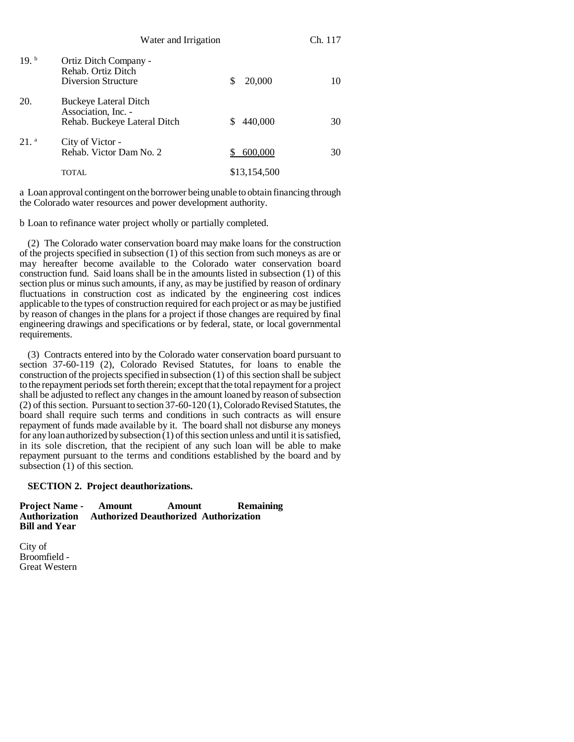|                    | Water and Irrigation                                                                |   |              | Ch. 117 |  |
|--------------------|-------------------------------------------------------------------------------------|---|--------------|---------|--|
| $19.^{b}$          | Ortiz Ditch Company -<br>Rehab. Ortiz Ditch<br><b>Diversion Structure</b>           | S | 20,000       | 10      |  |
| 20.                | <b>Buckeye Lateral Ditch</b><br>Association, Inc. -<br>Rehab. Buckeye Lateral Ditch |   | 440,000      | 30      |  |
| $21.$ <sup>a</sup> | City of Victor -<br>Rehab. Victor Dam No. 2                                         | S | 600,000      | 30      |  |
|                    | <b>TOTAL</b>                                                                        |   | \$13,154,500 |         |  |

a Loan approval contingent on the borrower being unable to obtain financing through the Colorado water resources and power development authority.

b Loan to refinance water project wholly or partially completed.

(2) The Colorado water conservation board may make loans for the construction of the projects specified in subsection (1) of this section from such moneys as are or may hereafter become available to the Colorado water conservation board construction fund. Said loans shall be in the amounts listed in subsection (1) of this section plus or minus such amounts, if any, as may be justified by reason of ordinary fluctuations in construction cost as indicated by the engineering cost indices applicable to the types of construction required for each project or as may be justified by reason of changes in the plans for a project if those changes are required by final engineering drawings and specifications or by federal, state, or local governmental requirements.

(3) Contracts entered into by the Colorado water conservation board pursuant to section 37-60-119 (2), Colorado Revised Statutes, for loans to enable the construction of the projects specified in subsection (1) of this section shall be subject to the repayment periods set forth therein; except that the total repayment for a project shall be adjusted to reflect any changes in the amount loaned by reason of subsection (2) of this section. Pursuant to section 37-60-120 (1), Colorado Revised Statutes, the board shall require such terms and conditions in such contracts as will ensure repayment of funds made available by it. The board shall not disburse any moneys for any loan authorized by subsection (1) of this section unless and until it is satisfied, in its sole discretion, that the recipient of any such loan will be able to make repayment pursuant to the terms and conditions established by the board and by subsection  $(1)$  of this section.

# **SECTION 2. Project deauthorizations.**

**Project Name - Amount Amount Remaining Authorization Authorized Deauthorized Authorization Bill and Year**

City of Broomfield - Great Western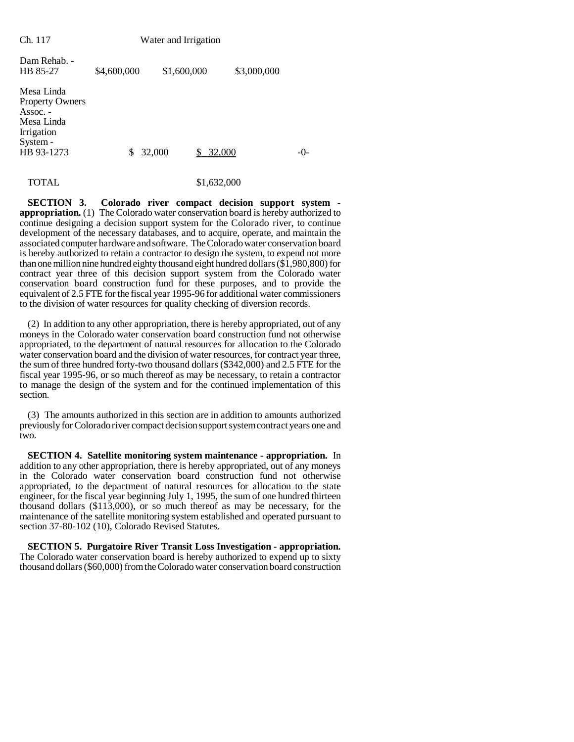| Ch. 117                                                                                                         | Water and Irrigation |              |             |         |
|-----------------------------------------------------------------------------------------------------------------|----------------------|--------------|-------------|---------|
| Dam Rehab. -<br>HB 85-27                                                                                        | \$4,600,000          | \$1,600,000  | \$3,000,000 |         |
| Mesa Linda<br><b>Property Owners</b><br>$\text{Assoc.}$ -<br>Mesa Linda<br>Irrigation<br>System -<br>HB 93-1273 | S                    | 32,000<br>\$ | 32,000      | $-()$ - |
| TOTAL                                                                                                           |                      |              | \$1,632,000 |         |

**SECTION 3. Colorado river compact decision support system appropriation.** (1) The Colorado water conservation board is hereby authorized to continue designing a decision support system for the Colorado river, to continue development of the necessary databases, and to acquire, operate, and maintain the associated computer hardware and software. The Colorado water conservation board is hereby authorized to retain a contractor to design the system, to expend not more than one million nine hundred eighty thousand eight hundred dollars (\$1,980,800) for contract year three of this decision support system from the Colorado water conservation board construction fund for these purposes, and to provide the equivalent of 2.5 FTE for the fiscal year 1995-96 for additional water commissioners to the division of water resources for quality checking of diversion records.

(2) In addition to any other appropriation, there is hereby appropriated, out of any moneys in the Colorado water conservation board construction fund not otherwise appropriated, to the department of natural resources for allocation to the Colorado water conservation board and the division of water resources, for contract year three, the sum of three hundred forty-two thousand dollars (\$342,000) and 2.5 FTE for the fiscal year 1995-96, or so much thereof as may be necessary, to retain a contractor to manage the design of the system and for the continued implementation of this section.

(3) The amounts authorized in this section are in addition to amounts authorized previously for Colorado river compact decision support system contract years one and two.

**SECTION 4. Satellite monitoring system maintenance - appropriation.** In addition to any other appropriation, there is hereby appropriated, out of any moneys in the Colorado water conservation board construction fund not otherwise appropriated, to the department of natural resources for allocation to the state engineer, for the fiscal year beginning July 1, 1995, the sum of one hundred thirteen thousand dollars (\$113,000), or so much thereof as may be necessary, for the maintenance of the satellite monitoring system established and operated pursuant to section 37-80-102 (10), Colorado Revised Statutes.

**SECTION 5. Purgatoire River Transit Loss Investigation - appropriation.** The Colorado water conservation board is hereby authorized to expend up to sixty thousand dollars (\$60,000) from the Colorado water conservation board construction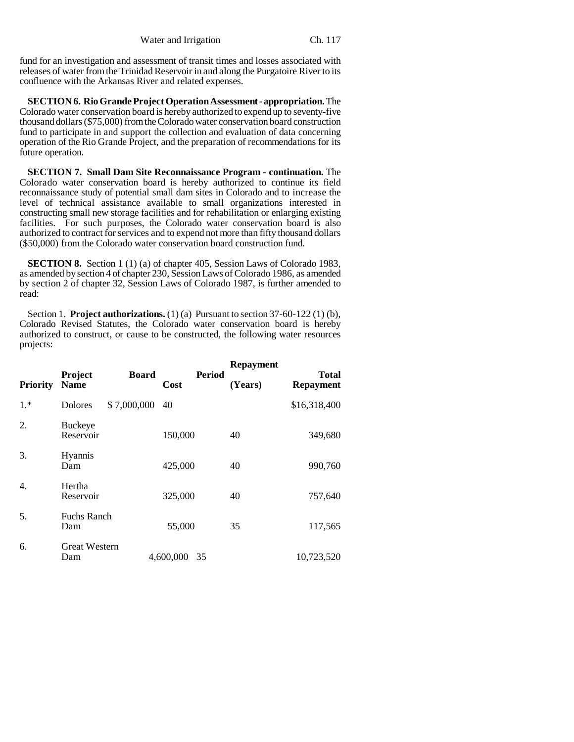fund for an investigation and assessment of transit times and losses associated with releases of water from the Trinidad Reservoir in and along the Purgatoire River to its confluence with the Arkansas River and related expenses.

**SECTION 6. Rio Grande Project Operation Assessment - appropriation.** The Colorado water conservation board is hereby authorized to expend up to seventy-five thousand dollars (\$75,000) from the Colorado water conservation board construction fund to participate in and support the collection and evaluation of data concerning operation of the Rio Grande Project, and the preparation of recommendations for its future operation.

**SECTION 7. Small Dam Site Reconnaissance Program - continuation.** The Colorado water conservation board is hereby authorized to continue its field reconnaissance study of potential small dam sites in Colorado and to increase the level of technical assistance available to small organizations interested in constructing small new storage facilities and for rehabilitation or enlarging existing facilities. For such purposes, the Colorado water conservation board is also authorized to contract for services and to expend not more than fifty thousand dollars (\$50,000) from the Colorado water conservation board construction fund.

**SECTION 8.** Section 1 (1) (a) of chapter 405, Session Laws of Colorado 1983, as amended by section 4 of chapter 230, Session Laws of Colorado 1986, as amended by section 2 of chapter 32, Session Laws of Colorado 1987, is further amended to read:

Section 1. **Project authorizations.** (1) (a) Pursuant to section 37-60-122 (1) (b), Colorado Revised Statutes, the Colorado water conservation board is hereby authorized to construct, or cause to be constructed, the following water resources projects:

| <b>Priority</b> | Project<br><b>Name</b>      | <b>Board</b> | <b>Period</b><br>Cost | <b>Repayment</b><br>(Years) | <b>Total</b><br><b>Repayment</b> |
|-----------------|-----------------------------|--------------|-----------------------|-----------------------------|----------------------------------|
| $1.*$           | <b>Dolores</b>              | \$7,000,000  | 40                    |                             | \$16,318,400                     |
| 2.              | <b>Buckeye</b><br>Reservoir |              | 150,000               | 40                          | 349,680                          |
| 3.              | Hyannis<br>Dam              |              | 425,000               | 40                          | 990,760                          |
| 4.              | Hertha<br>Reservoir         |              | 325,000               | 40                          | 757,640                          |
| 5.              | <b>Fuchs Ranch</b><br>Dam   |              | 55,000                | 35                          | 117,565                          |
| 6.              | <b>Great Western</b><br>Dam |              | 4,600,000<br>35       |                             | 10,723,520                       |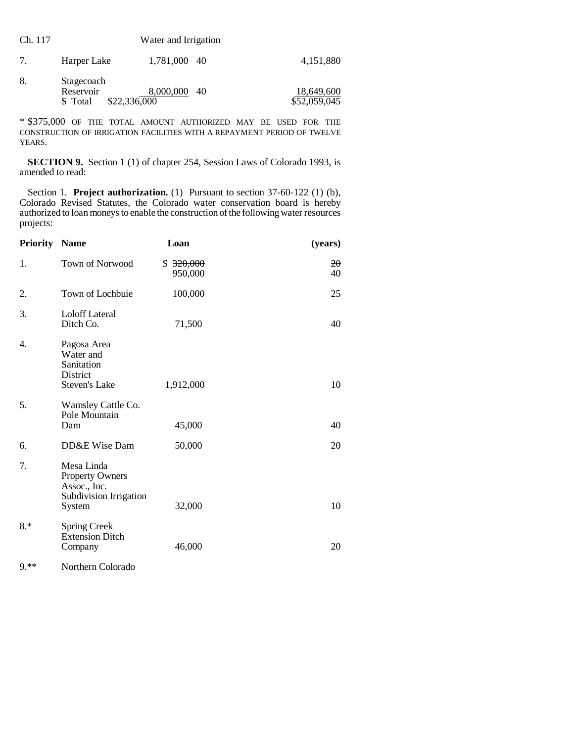| Ch. 117 |                                                     | Water and Irrigation |    |                            |
|---------|-----------------------------------------------------|----------------------|----|----------------------------|
| 7.      | Harper Lake                                         | 1,781,000 40         |    | 4,151,880                  |
| 8.      | Stagecoach<br>Reservoir<br>\$22,336,000<br>\$ Total | 8,000,000            | 40 | 18,649,600<br>\$52,059,045 |

\* \$375,000 OF THE TOTAL AMOUNT AUTHORIZED MAY BE USED FOR THE CONSTRUCTION OF IRRIGATION FACILITIES WITH A REPAYMENT PERIOD OF TWELVE YEARS.

**SECTION 9.** Section 1 (1) of chapter 254, Session Laws of Colorado 1993, is amended to read:

Section 1. **Project authorization.** (1) Pursuant to section 37-60-122 (1) (b), Colorado Revised Statutes, the Colorado water conservation board is hereby authorized to loan moneys to enable the construction of the following water resources projects:

| <b>Priority</b> | <b>Name</b>                                                                                                                                                                                                                                                                                                                        | Loan                 | (years)            |
|-----------------|------------------------------------------------------------------------------------------------------------------------------------------------------------------------------------------------------------------------------------------------------------------------------------------------------------------------------------|----------------------|--------------------|
| 1.              | Town of Norwood                                                                                                                                                                                                                                                                                                                    | \$320,000<br>950,000 | $20^{\circ}$<br>40 |
| 2.              | Town of Lochbuie                                                                                                                                                                                                                                                                                                                   | 100,000              | 25                 |
| 3.              | <b>Loloff Lateral</b><br>Ditch Co.                                                                                                                                                                                                                                                                                                 | 71,500               | 40                 |
| 4.              | Pagosa Area<br>Water and<br>Sanitation<br>District<br>Steven's Lake                                                                                                                                                                                                                                                                | 1,912,000            | 10                 |
| 5.              | Wamsley Cattle Co.<br>Pole Mountain<br>Dam                                                                                                                                                                                                                                                                                         | 45,000               | 40                 |
| 6.              | DD&E Wise Dam                                                                                                                                                                                                                                                                                                                      | 50,000               | 20                 |
| 7.              | Mesa Linda<br>Property Owners<br>Assoc., Inc.<br>Subdivision Irrigation<br>System                                                                                                                                                                                                                                                  | 32,000               | 10                 |
| $8.*$           | <b>Spring Creek</b><br><b>Extension Ditch</b><br>Company                                                                                                                                                                                                                                                                           | 46,000               | 20                 |
| 1.1.11          | $\mathbf{v}$ $\mathbf{v}$ $\mathbf{v}$ $\mathbf{v}$ $\mathbf{v}$ $\mathbf{v}$ $\mathbf{v}$ $\mathbf{v}$ $\mathbf{v}$ $\mathbf{v}$ $\mathbf{v}$ $\mathbf{v}$ $\mathbf{v}$ $\mathbf{v}$ $\mathbf{v}$ $\mathbf{v}$ $\mathbf{v}$ $\mathbf{v}$ $\mathbf{v}$ $\mathbf{v}$ $\mathbf{v}$ $\mathbf{v}$ $\mathbf{v}$ $\mathbf{v}$ $\mathbf{$ |                      |                    |

9.\*\* Northern Colorado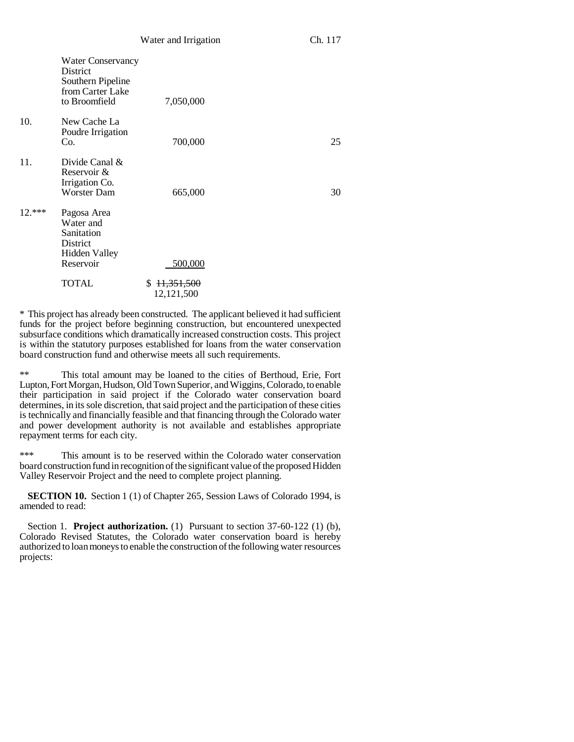|          | <b>Water Conservancy</b><br><b>District</b><br>Southern Pipeline<br>from Carter Lake<br>to Broomfield | 7,050,000                    |    |
|----------|-------------------------------------------------------------------------------------------------------|------------------------------|----|
| 10.      | New Cache La<br>Poudre Irrigation<br>Co.                                                              | 700,000                      | 25 |
| 11.      | Divide Canal $\&$<br>Reservoir &<br>Irrigation Co.<br><b>Worster Dam</b>                              | 665,000                      | 30 |
| $12.***$ | Pagosa Area<br>Water and<br>Sanitation<br>District<br><b>Hidden Valley</b><br>Reservoir               | 500,000                      |    |
|          | <b>TOTAL</b>                                                                                          | \$11,351,500<br>12, 121, 500 |    |

\* This project has already been constructed. The applicant believed it had sufficient funds for the project before beginning construction, but encountered unexpected subsurface conditions which dramatically increased construction costs. This project is within the statutory purposes established for loans from the water conservation board construction fund and otherwise meets all such requirements.

\*\* This total amount may be loaned to the cities of Berthoud, Erie, Fort Lupton, Fort Morgan, Hudson, Old Town Superior, and Wiggins, Colorado, to enable their participation in said project if the Colorado water conservation board determines, in its sole discretion, that said project and the participation of these cities is technically and financially feasible and that financing through the Colorado water and power development authority is not available and establishes appropriate repayment terms for each city.

\*\*\* This amount is to be reserved within the Colorado water conservation board construction fund in recognition of the significant value of the proposed Hidden Valley Reservoir Project and the need to complete project planning.

**SECTION 10.** Section 1 (1) of Chapter 265, Session Laws of Colorado 1994, is amended to read:

Section 1. **Project authorization.** (1) Pursuant to section 37-60-122 (1) (b), Colorado Revised Statutes, the Colorado water conservation board is hereby authorized to loan moneys to enable the construction of the following water resources projects: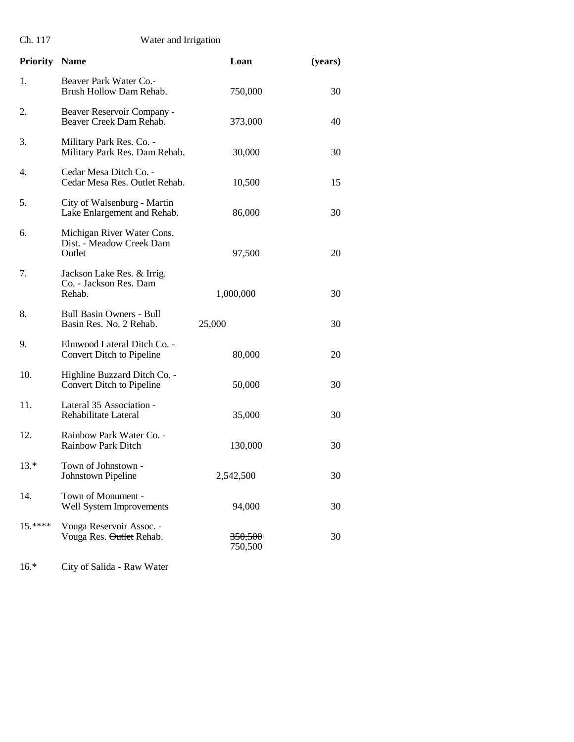Ch. 117 Water and Irrigation

| <b>Priority Name</b> |                                                                  | Loan               | (years) |
|----------------------|------------------------------------------------------------------|--------------------|---------|
| 1.                   | Beaver Park Water Co.-<br>Brush Hollow Dam Rehab.                | 750,000            | 30      |
| 2.                   | Beaver Reservoir Company -<br>Beaver Creek Dam Rehab.            | 373,000            | 40      |
| 3.                   | Military Park Res. Co. -<br>Military Park Res. Dam Rehab.        | 30,000             | 30      |
| 4.                   | Cedar Mesa Ditch Co. -<br>Cedar Mesa Res. Outlet Rehab.          | 10,500             | 15      |
| 5.                   | City of Walsenburg - Martin<br>Lake Enlargement and Rehab.       | 86,000             | 30      |
| 6.                   | Michigan River Water Cons.<br>Dist. - Meadow Creek Dam<br>Outlet | 97,500             | 20      |
| 7.                   | Jackson Lake Res. & Irrig.<br>Co. - Jackson Res. Dam<br>Rehab.   | 1,000,000          | 30      |
| 8.                   | <b>Bull Basin Owners - Bull</b><br>Basin Res. No. 2 Rehab.       | 25,000             | 30      |
| 9.                   | Elmwood Lateral Ditch Co. -<br>Convert Ditch to Pipeline         | 80,000             | 20      |
| 10.                  | Highline Buzzard Ditch Co. -<br>Convert Ditch to Pipeline        | 50,000             | 30      |
| 11.                  | Lateral 35 Association -<br>Rehabilitate Lateral                 | 35,000             | 30      |
| 12.                  | Rainbow Park Water Co. -<br><b>Rainbow Park Ditch</b>            | 130,000            | 30      |
| $13.*$               | Town of Johnstown -<br>Johnstown Pipeline                        | 2,542,500          | 30      |
| 14.                  | Town of Monument -<br>Well System Improvements                   | 94,000             | 30      |
| $15.****$            | Vouga Reservoir Assoc. -<br>Vouga Res. Outlet Rehab.             | 350,500<br>750,500 | 30      |

16.\* City of Salida - Raw Water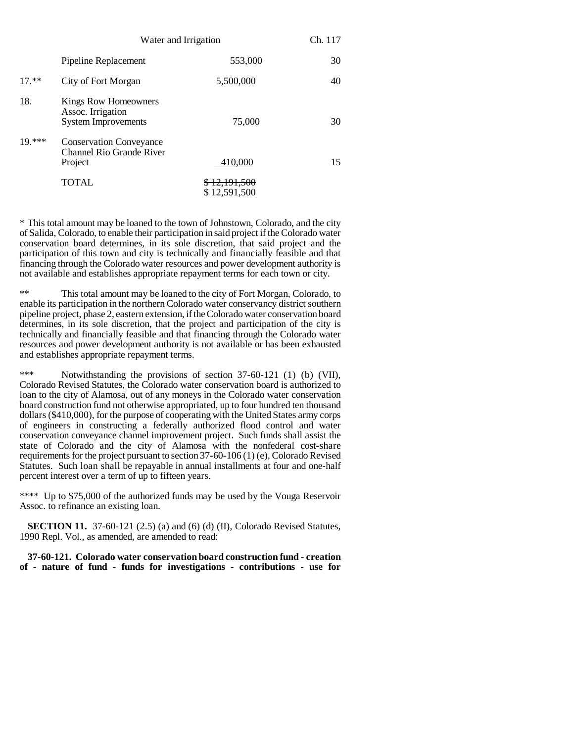|          | Water and Irrigation                                                    |                                         | Ch. 117 |
|----------|-------------------------------------------------------------------------|-----------------------------------------|---------|
|          | Pipeline Replacement                                                    | 553,000                                 | 30      |
| $17**$   | City of Fort Morgan                                                     | 5,500,000                               | 40      |
| 18.      | Kings Row Homeowners<br>Assoc. Irrigation<br><b>System Improvements</b> | 75,000                                  | 30      |
| $19$ *** | <b>Conservation Conveyance</b><br>Channel Rio Grande River<br>Project   | 410,000                                 | 15      |
|          | <b>TOTAL</b>                                                            | <del>\$12,191,500</del><br>\$12,591,500 |         |

\* This total amount may be loaned to the town of Johnstown, Colorado, and the city of Salida, Colorado, to enable their participation in said project if the Colorado water conservation board determines, in its sole discretion, that said project and the participation of this town and city is technically and financially feasible and that financing through the Colorado water resources and power development authority is not available and establishes appropriate repayment terms for each town or city.

\*\* This total amount may be loaned to the city of Fort Morgan, Colorado, to enable its participation in the northern Colorado water conservancy district southern pipeline project, phase 2, eastern extension, if the Colorado water conservation board determines, in its sole discretion, that the project and participation of the city is technically and financially feasible and that financing through the Colorado water resources and power development authority is not available or has been exhausted and establishes appropriate repayment terms.

\*\*\* Notwithstanding the provisions of section 37-60-121 (1) (b) (VII), Colorado Revised Statutes, the Colorado water conservation board is authorized to loan to the city of Alamosa, out of any moneys in the Colorado water conservation board construction fund not otherwise appropriated, up to four hundred ten thousand dollars (\$410,000), for the purpose of cooperating with the United States army corps of engineers in constructing a federally authorized flood control and water conservation conveyance channel improvement project. Such funds shall assist the state of Colorado and the city of Alamosa with the nonfederal cost-share requirements for the project pursuant to section 37-60-106 (1) (e), Colorado Revised Statutes. Such loan shall be repayable in annual installments at four and one-half percent interest over a term of up to fifteen years.

\*\*\*\* Up to \$75,000 of the authorized funds may be used by the Vouga Reservoir Assoc. to refinance an existing loan.

**SECTION 11.** 37-60-121 (2.5) (a) and (6) (d) (II), Colorado Revised Statutes, 1990 Repl. Vol., as amended, are amended to read:

**37-60-121. Colorado water conservation board construction fund - creation of - nature of fund - funds for investigations - contributions - use for**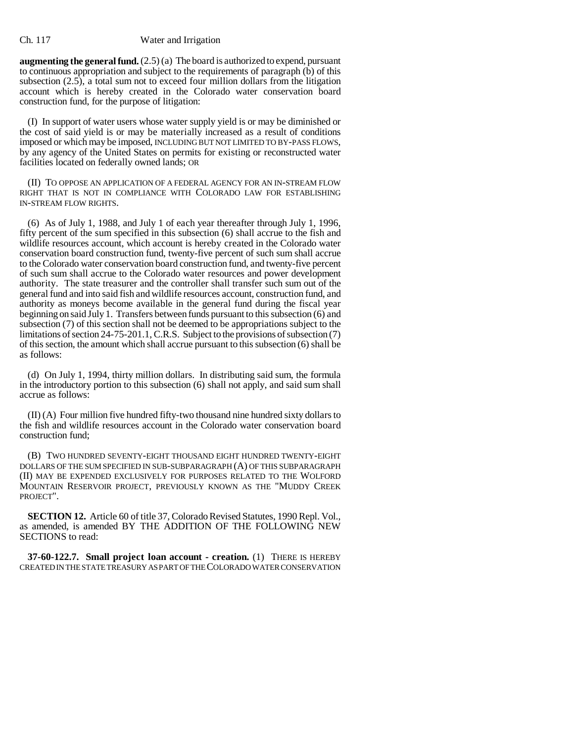### Ch. 117 Water and Irrigation

**augmenting the general fund.** (2.5) (a) The board is authorized to expend, pursuant to continuous appropriation and subject to the requirements of paragraph (b) of this subsection (2.5), a total sum not to exceed four million dollars from the litigation account which is hereby created in the Colorado water conservation board construction fund, for the purpose of litigation:

(I) In support of water users whose water supply yield is or may be diminished or the cost of said yield is or may be materially increased as a result of conditions imposed or which may be imposed, INCLUDING BUT NOT LIMITED TO BY-PASS FLOWS, by any agency of the United States on permits for existing or reconstructed water facilities located on federally owned lands; OR

(II) TO OPPOSE AN APPLICATION OF A FEDERAL AGENCY FOR AN IN-STREAM FLOW RIGHT THAT IS NOT IN COMPLIANCE WITH COLORADO LAW FOR ESTABLISHING IN-STREAM FLOW RIGHTS.

(6) As of July 1, 1988, and July 1 of each year thereafter through July 1, 1996, fifty percent of the sum specified in this subsection (6) shall accrue to the fish and wildlife resources account, which account is hereby created in the Colorado water conservation board construction fund, twenty-five percent of such sum shall accrue to the Colorado water conservation board construction fund, and twenty-five percent of such sum shall accrue to the Colorado water resources and power development authority. The state treasurer and the controller shall transfer such sum out of the general fund and into said fish and wildlife resources account, construction fund, and authority as moneys become available in the general fund during the fiscal year beginning on said July 1. Transfers between funds pursuant to this subsection (6) and subsection (7) of this section shall not be deemed to be appropriations subject to the limitations of section 24-75-201.1, C.R.S. Subject to the provisions of subsection (7) of this section, the amount which shall accrue pursuant to this subsection (6) shall be as follows:

(d) On July 1, 1994, thirty million dollars. In distributing said sum, the formula in the introductory portion to this subsection (6) shall not apply, and said sum shall accrue as follows:

(II) (A) Four million five hundred fifty-two thousand nine hundred sixty dollars to the fish and wildlife resources account in the Colorado water conservation board construction fund;

(B) TWO HUNDRED SEVENTY-EIGHT THOUSAND EIGHT HUNDRED TWENTY-EIGHT DOLLARS OF THE SUM SPECIFIED IN SUB-SUBPARAGRAPH (A) OF THIS SUBPARAGRAPH (II) MAY BE EXPENDED EXCLUSIVELY FOR PURPOSES RELATED TO THE WOLFORD MOUNTAIN RESERVOIR PROJECT, PREVIOUSLY KNOWN AS THE "MUDDY CREEK PROJECT".

**SECTION 12.** Article 60 of title 37, Colorado Revised Statutes, 1990 Repl. Vol., as amended, is amended BY THE ADDITION OF THE FOLLOWING NEW SECTIONS to read:

**37-60-122.7. Small project loan account - creation.** (1) THERE IS HEREBY CREATED IN THE STATE TREASURY AS PART OF THE COLORADO WATER CONSERVATION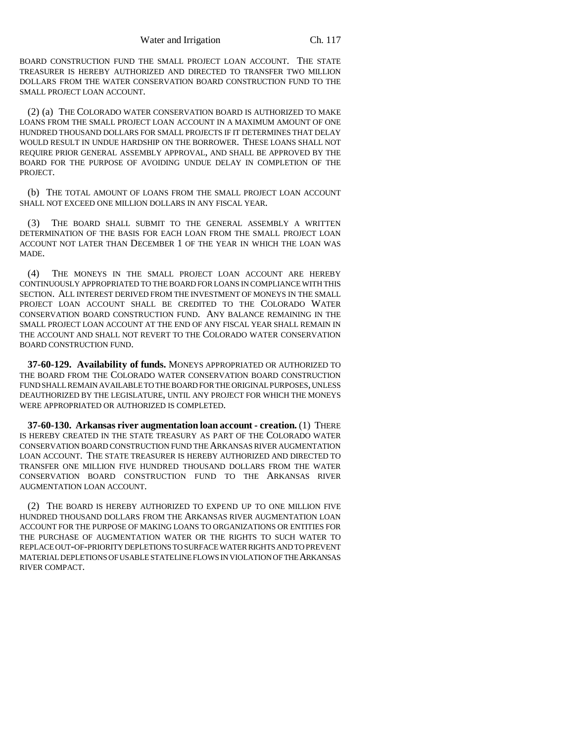BOARD CONSTRUCTION FUND THE SMALL PROJECT LOAN ACCOUNT. THE STATE TREASURER IS HEREBY AUTHORIZED AND DIRECTED TO TRANSFER TWO MILLION DOLLARS FROM THE WATER CONSERVATION BOARD CONSTRUCTION FUND TO THE SMALL PROJECT LOAN ACCOUNT.

(2) (a) THE COLORADO WATER CONSERVATION BOARD IS AUTHORIZED TO MAKE LOANS FROM THE SMALL PROJECT LOAN ACCOUNT IN A MAXIMUM AMOUNT OF ONE HUNDRED THOUSAND DOLLARS FOR SMALL PROJECTS IF IT DETERMINES THAT DELAY WOULD RESULT IN UNDUE HARDSHIP ON THE BORROWER. THESE LOANS SHALL NOT REQUIRE PRIOR GENERAL ASSEMBLY APPROVAL, AND SHALL BE APPROVED BY THE BOARD FOR THE PURPOSE OF AVOIDING UNDUE DELAY IN COMPLETION OF THE PROJECT.

(b) THE TOTAL AMOUNT OF LOANS FROM THE SMALL PROJECT LOAN ACCOUNT SHALL NOT EXCEED ONE MILLION DOLLARS IN ANY FISCAL YEAR.

(3) THE BOARD SHALL SUBMIT TO THE GENERAL ASSEMBLY A WRITTEN DETERMINATION OF THE BASIS FOR EACH LOAN FROM THE SMALL PROJECT LOAN ACCOUNT NOT LATER THAN DECEMBER 1 OF THE YEAR IN WHICH THE LOAN WAS MADE.

(4) THE MONEYS IN THE SMALL PROJECT LOAN ACCOUNT ARE HEREBY CONTINUOUSLY APPROPRIATED TO THE BOARD FOR LOANS IN COMPLIANCE WITH THIS SECTION. ALL INTEREST DERIVED FROM THE INVESTMENT OF MONEYS IN THE SMALL PROJECT LOAN ACCOUNT SHALL BE CREDITED TO THE COLORADO WATER CONSERVATION BOARD CONSTRUCTION FUND. ANY BALANCE REMAINING IN THE SMALL PROJECT LOAN ACCOUNT AT THE END OF ANY FISCAL YEAR SHALL REMAIN IN THE ACCOUNT AND SHALL NOT REVERT TO THE COLORADO WATER CONSERVATION BOARD CONSTRUCTION FUND.

**37-60-129. Availability of funds.** MONEYS APPROPRIATED OR AUTHORIZED TO THE BOARD FROM THE COLORADO WATER CONSERVATION BOARD CONSTRUCTION FUND SHALL REMAIN AVAILABLE TO THE BOARD FOR THE ORIGINAL PURPOSES, UNLESS DEAUTHORIZED BY THE LEGISLATURE, UNTIL ANY PROJECT FOR WHICH THE MONEYS WERE APPROPRIATED OR AUTHORIZED IS COMPLETED.

**37-60-130. Arkansas river augmentation loan account - creation.** (1) THERE IS HEREBY CREATED IN THE STATE TREASURY AS PART OF THE COLORADO WATER CONSERVATION BOARD CONSTRUCTION FUND THE ARKANSAS RIVER AUGMENTATION LOAN ACCOUNT. THE STATE TREASURER IS HEREBY AUTHORIZED AND DIRECTED TO TRANSFER ONE MILLION FIVE HUNDRED THOUSAND DOLLARS FROM THE WATER CONSERVATION BOARD CONSTRUCTION FUND TO THE ARKANSAS RIVER AUGMENTATION LOAN ACCOUNT.

(2) THE BOARD IS HEREBY AUTHORIZED TO EXPEND UP TO ONE MILLION FIVE HUNDRED THOUSAND DOLLARS FROM THE ARKANSAS RIVER AUGMENTATION LOAN ACCOUNT FOR THE PURPOSE OF MAKING LOANS TO ORGANIZATIONS OR ENTITIES FOR THE PURCHASE OF AUGMENTATION WATER OR THE RIGHTS TO SUCH WATER TO REPLACE OUT-OF-PRIORITY DEPLETIONS TO SURFACE WATER RIGHTS AND TO PREVENT MATERIAL DEPLETIONS OF USABLE STATELINE FLOWS IN VIOLATION OF THE ARKANSAS RIVER COMPACT.